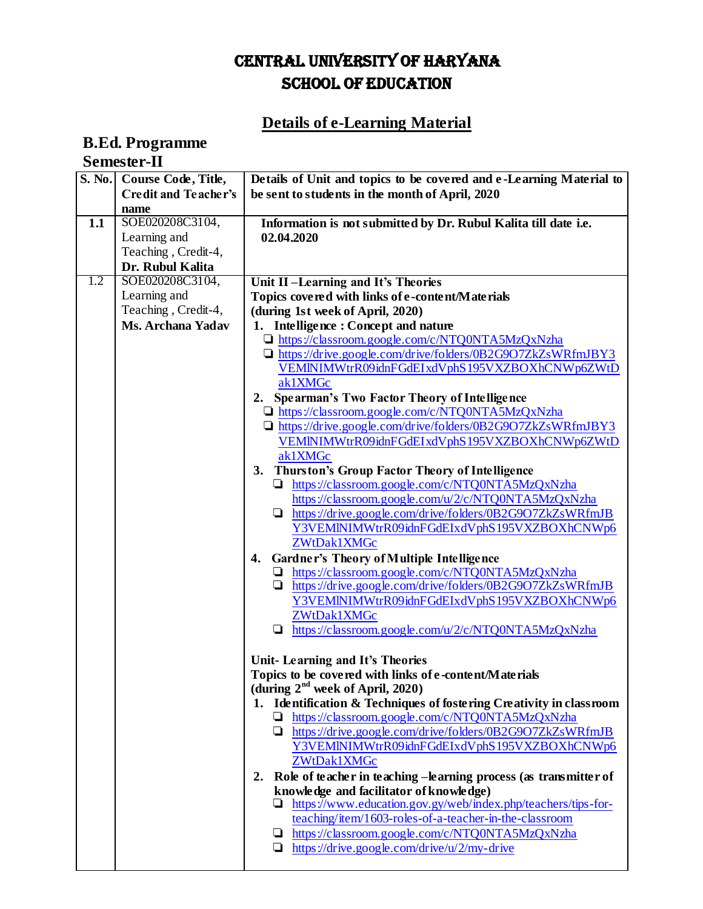## CENTRAL UNIVERSITY OF HARYANA SCHOOL OF EDUCATION

## **Details of e-Learning Material**

## **B.Ed. Programme Semester-II**

|                  | S. No. Course Code, Title, | Details of Unit and topics to be covered and e-Learning Material to                                       |
|------------------|----------------------------|-----------------------------------------------------------------------------------------------------------|
|                  | Credit and Teacher's       | be sent to students in the month of April, 2020                                                           |
|                  | name                       |                                                                                                           |
| 1.1              | SOE020208C3104,            | Information is not submitted by Dr. Rubul Kalita till date i.e.                                           |
|                  | Learning and               | 02.04.2020                                                                                                |
|                  | Teaching, Credit-4,        |                                                                                                           |
|                  | Dr. Rubul Kalita           |                                                                                                           |
| $\overline{1.2}$ | SOE020208C3104,            | Unit II-Learning and It's Theories                                                                        |
|                  | Learning and               | Topics covered with links of e-content/Materials                                                          |
|                  | Teaching, Credit-4,        | (during 1st week of April, 2020)                                                                          |
|                  | <b>Ms. Archana Yadav</b>   | 1. Intelligence: Concept and nature                                                                       |
|                  |                            | https://classroom.google.com/c/NTQ0NTA5MzQxNzha                                                           |
|                  |                            | Inttps://drive.google.com/drive/folders/0B2G9O7ZkZsWRfmJBY3                                               |
|                  |                            | VEMINIMWtrR09idnFGdEIxdVphS195VXZBOXhCNWp6ZWtD                                                            |
|                  |                            | ak1XMGc                                                                                                   |
|                  |                            |                                                                                                           |
|                  |                            | 2. Spearman's Two Factor Theory of Intelligence<br>$\Box$ https://classroom.google.com/c/NTQ0NTA5MzQxNzha |
|                  |                            | Inttps://drive.google.com/drive/folders/0B2G9O7ZkZsWRfmJBY3                                               |
|                  |                            |                                                                                                           |
|                  |                            | VEMINIMWtrR09idnFGdEIxdVphS195VXZBOXhCNWp6ZWtD                                                            |
|                  |                            | ak1XMGc                                                                                                   |
|                  |                            | 3. Thurston's Group Factor Theory of Intelligence                                                         |
|                  |                            | https://classroom.google.com/c/NTQ0NTA5MzQxNzha<br>https://classroom.google.com/u/2/c/NTQ0NTA5MzQxNzha    |
|                  |                            |                                                                                                           |
|                  |                            | https://drive.google.com/drive/folders/0B2G9O7ZkZsWRfmJB                                                  |
|                  |                            | Y3VEMINIMWtrR09idnFGdEIxdVphS195VXZBOXhCNWp6                                                              |
|                  |                            | ZWtDak1XMGc                                                                                               |
|                  |                            | 4. Gardner's Theory of Multiple Intelligence                                                              |
|                  |                            | https://classroom.google.com/c/NTQ0NTA5MzQxNzha                                                           |
|                  |                            | $\Box$ https://drive.google.com/drive/folders/0B2G9O7ZkZsWRfmJB                                           |
|                  |                            | Y3VEMINIMWtrR09idnFGdEIxdVphS195VXZBOXhCNWp6                                                              |
|                  |                            | ZWtDak1XMGc                                                                                               |
|                  |                            | $\Box$ https://classroom.google.com/u/2/c/NTQ0NTA5MzQxNzha                                                |
|                  |                            |                                                                                                           |
|                  |                            | Unit-Learning and It's Theories                                                                           |
|                  |                            | Topics to be covered with links of e-content/Materials                                                    |
|                  |                            | (during $2^{na}$ week of April, 2020)                                                                     |
|                  |                            | 1. Identification & Techniques of fostering Creativity in classroom                                       |
|                  |                            | https://classroom.google.com/c/NTQ0NTA5MzQxNzha<br>u.                                                     |
|                  |                            | $\Box$ https://drive.google.com/drive/folders/0B2G9O7ZkZsWRfmJB                                           |
|                  |                            | Y3VEMINIMWtrR09idnFGdEIxdVphS195VXZBOXhCNWp6                                                              |
|                  |                            | ZWtDak1XMGc                                                                                               |
|                  |                            | Role of teacher in teaching -learning process (as transmitter of<br>2.                                    |
|                  |                            | knowledge and facilitator of knowledge)                                                                   |
|                  |                            | https://www.education.gov.gy/web/index.php/teachers/tips-for-                                             |
|                  |                            | teaching/item/1603-roles-of-a-teacher-in-the-classroom                                                    |
|                  |                            | https://classroom.google.com/c/NTQ0NTA5MzQxNzha<br>⊔                                                      |
|                  |                            | $\Box$ https://drive.google.com/drive/u/2/my-drive                                                        |
|                  |                            |                                                                                                           |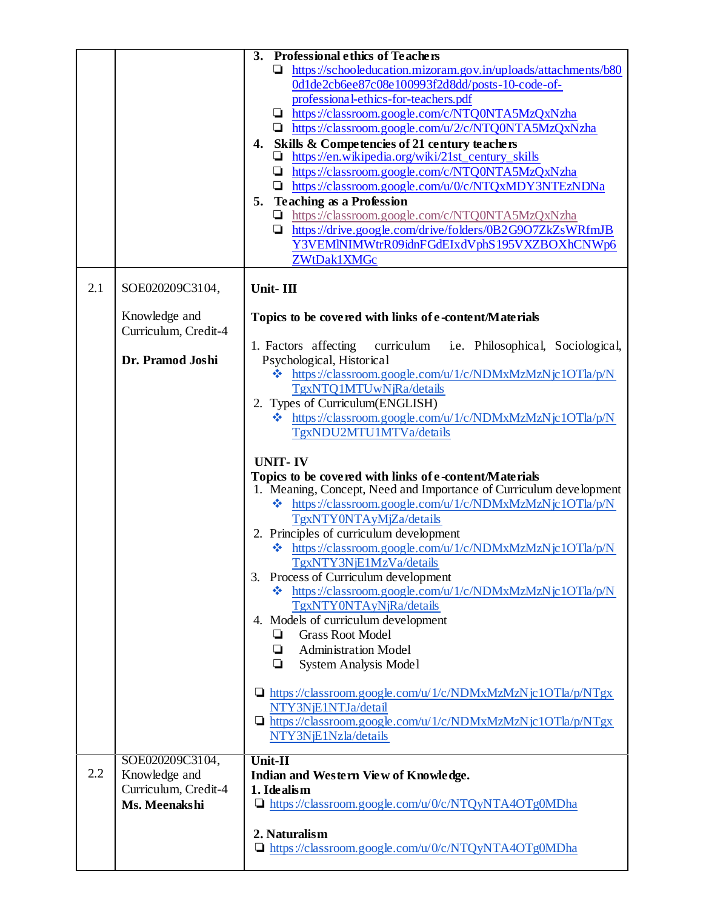|     |                      | 3. Professional ethics of Teachers                                                                                           |
|-----|----------------------|------------------------------------------------------------------------------------------------------------------------------|
|     |                      | https://schooleducation.mizoram.gov.in/uploads/attachments/b80                                                               |
|     |                      | 0d1de2cb6ee87c08e100993f2d8dd/posts-10-code-of-                                                                              |
|     |                      | professional-ethics-for-teachers.pdf                                                                                         |
|     |                      | https://classroom.google.com/c/NTQ0NTA5MzQxNzha                                                                              |
|     |                      | https://classroom.google.com/u/2/c/NTQ0NTA5MzQxNzha                                                                          |
|     |                      | 4. Skills & Competencies of 21 century teachers                                                                              |
|     |                      | https://en.wikipedia.org/wiki/21st_century_skills                                                                            |
|     |                      | https://classroom.google.com/c/NTQ0NTA5MzQxNzha<br>⊔                                                                         |
|     |                      | https://classroom.google.com/u/0/c/NTQxMDY3NTEzNDNa<br>⊔                                                                     |
|     |                      | <b>Teaching as a Profession</b><br>5.                                                                                        |
|     |                      | https://classroom.google.com/c/NTQ0NTA5MzQxNzha<br>⊔                                                                         |
|     |                      | https://drive.google.com/drive/folders/0B2G9O7ZkZsWRfmJB                                                                     |
|     |                      | Y3VEMINIMWtrR09idnFGdEIxdVphS195VXZBOXhCNWp6                                                                                 |
|     |                      | ZWtDak1XMGc                                                                                                                  |
| 2.1 | SOE020209C3104,      | Unit-III                                                                                                                     |
|     |                      |                                                                                                                              |
|     | Knowledge and        | Topics to be covered with links of e-content/Materials                                                                       |
|     | Curriculum, Credit-4 |                                                                                                                              |
|     |                      | 1. Factors affecting<br>curriculum i.e. Philosophical, Sociological,                                                         |
|     | Dr. Pramod Joshi     | Psychological, Historical                                                                                                    |
|     |                      | https://classroom.google.com/u/1/c/NDMxMzMzNjc1OTla/p/N<br>豪                                                                 |
|     |                      | TgxNTQ1MTUwNjRa/details                                                                                                      |
|     |                      | 2. Types of Curriculum(ENGLISH)                                                                                              |
|     |                      | https://classroom.google.com/u/1/c/NDMxMzMzNjc1OTla/p/N                                                                      |
|     |                      | TgxNDU2MTU1MTVa/details                                                                                                      |
|     |                      |                                                                                                                              |
|     |                      | <b>UNIT-IV</b>                                                                                                               |
|     |                      | Topics to be covered with links of e-content/Materials<br>1. Meaning, Concept, Need and Importance of Curriculum development |
|     |                      | https://classroom.google.com/u/1/c/NDMxMzMzNjc1OTla/p/N<br>❖                                                                 |
|     |                      | TgxNTY0NTAyMjZa/details                                                                                                      |
|     |                      | 2. Principles of curriculum development                                                                                      |
|     |                      | V https://classroom.google.com/u/1/c/NDMxMzMzNjc1OTla/p/N                                                                    |
|     |                      | TgxNTY3NjE1MzVa/details                                                                                                      |
|     |                      | 3. Process of Curriculum development                                                                                         |
|     |                      | https://classroom.google.com/u/1/c/NDMxMzMzNjc1OTla/p/N<br>46                                                                |
|     |                      | TgxNTY0NTAyNjRa/details                                                                                                      |
|     |                      | 4. Models of curriculum development                                                                                          |
|     |                      | <b>Grass Root Model</b><br>❏                                                                                                 |
|     |                      | <b>Administration Model</b><br>❏                                                                                             |
|     |                      | ❏<br>System Analysis Model                                                                                                   |
|     |                      |                                                                                                                              |
|     |                      | $\Box$ https://classroom.google.com/u/1/c/NDMxMzMzNjc1OTla/p/NTgx<br>NTY3NjE1NTJa/detail                                     |
|     |                      | $\Box$ https://classroom.google.com/u/1/c/NDMxMzMzNjc1OTla/p/NTgx                                                            |
|     |                      | NTY3NjE1Nzla/details                                                                                                         |
|     |                      |                                                                                                                              |
|     | SOE020209C3104,      | Unit-II                                                                                                                      |
| 2.2 | Knowledge and        | Indian and Western View of Knowledge.                                                                                        |
|     | Curriculum, Credit-4 | 1. Idealism                                                                                                                  |
|     | Ms. Meenakshi        | https://classroom.google.com/u/0/c/NTQyNTA4OTg0MDha                                                                          |
|     |                      |                                                                                                                              |
|     |                      | 2. Naturalism<br>$\Box$ https://classroom.google.com/u/0/c/NTQyNTA4OTg0MDha                                                  |
|     |                      |                                                                                                                              |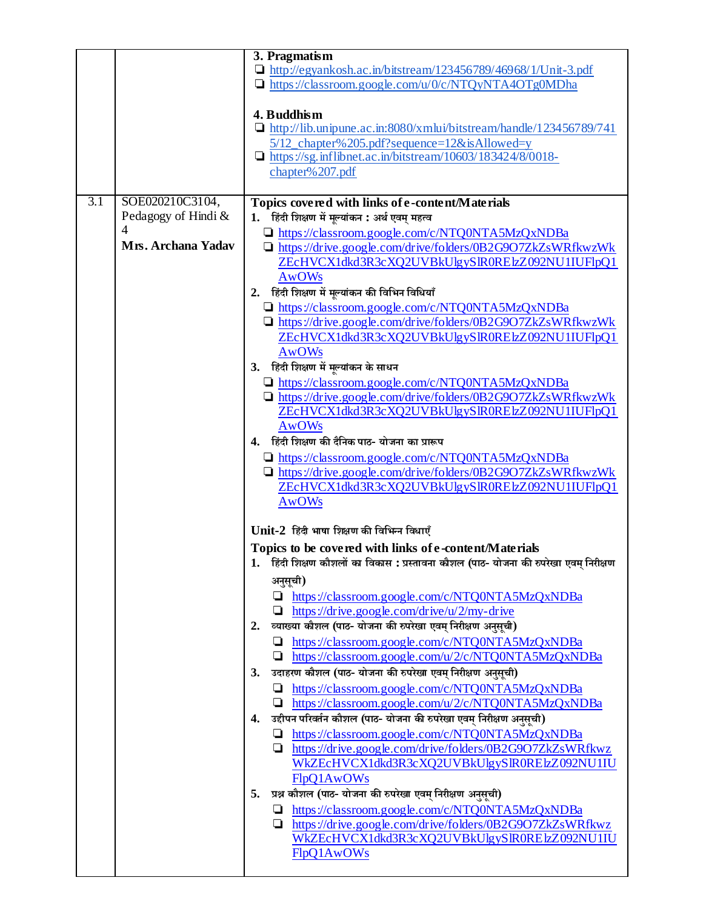|     |                     | 3. Pragmatism                                                                          |
|-----|---------------------|----------------------------------------------------------------------------------------|
|     |                     | $\Box$ http://egyankosh.ac.in/bitstream/123456789/46968/1/Unit-3.pdf                   |
|     |                     | $\Box$ https://classroom.google.com/u/0/c/NTQyNTA4OTg0MDha                             |
|     |                     |                                                                                        |
|     |                     | 4. Buddhism                                                                            |
|     |                     | $\Box$ http://lib.unipune.ac.in:8080/xmlui/bitstream/handle/123456789/741              |
|     |                     | 5/12_chapter%205.pdf?sequence=12&isAllowed=y                                           |
|     |                     | $\Box$ https://sg.inflibnet.ac.in/bitstream/10603/183424/8/0018-                       |
|     |                     | chapter% 207.pdf                                                                       |
|     |                     |                                                                                        |
|     |                     |                                                                                        |
| 3.1 | SOE020210C3104,     | Topics covered with links of e-content/Materials                                       |
|     | Pedagogy of Hindi & | 1. हिंदी शिक्षण में मूल्यांकन: अर्थ एवम् महत्व                                         |
|     | 4                   | https://classroom.google.com/c/NTQ0NTA5MzQxNDBa                                        |
|     | Mrs. Archana Yadav  | https://drive.google.com/drive/folders/0B2G9O7ZkZsWRfkwzWk                             |
|     |                     | ZEcHVCX1dkd3R3cXQ2UVBkUlgySlR0RElzZ092NU1IUFlpQ1                                       |
|     |                     | <b>AwOWs</b>                                                                           |
|     |                     | 2. हिंदी शिक्षण में मूल्यांकन की विभिन विधियाँ                                         |
|     |                     | https://classroom.google.com/c/NTQ0NTA5MzQxNDBa                                        |
|     |                     | https://drive.google.com/drive/folders/0B2G9O7ZkZsWRfkwzWk                             |
|     |                     | ZEcHVCX1dkd3R3cXQ2UVBkUlgySlR0RElzZ092NU1IUFlpQ1                                       |
|     |                     | <b>AwOWs</b>                                                                           |
|     |                     | 3. हिंदी शिक्षण में मूल्यांकन के साधन                                                  |
|     |                     |                                                                                        |
|     |                     | Inttps://classroom.google.com/c/NTQ0NTA5MzQxNDBa                                       |
|     |                     | https://drive.google.com/drive/folders/0B2G9O7ZkZsWRfkwzWk                             |
|     |                     | ZEcHVCX1dkd3R3cXQ2UVBkUlgySlR0RElzZ092NU1IUFlpQ1                                       |
|     |                     | <b>AwOWs</b>                                                                           |
|     |                     | 4. हिंदी शिक्षण की दैनिक पाठ- योजना का प्रारूप                                         |
|     |                     | $\Box$ https://classroom.google.com/c/NTQ0NTA5MzQxNDBa                                 |
|     |                     | $\Box$ https://drive.google.com/drive/folders/0B2G9O7ZkZsWRfkwzWk                      |
|     |                     | ZEcHVCX1dkd3R3cXQ2UVBkUlgySlR0RElzZ092NU1IUFlpQ1                                       |
|     |                     | <b>AwOWs</b>                                                                           |
|     |                     |                                                                                        |
|     |                     | Unit-2 हिंदी भाषा शिक्षण की विभिन्न विधाएँ                                             |
|     |                     | Topics to be covered with links of e-content/Materials                                 |
|     |                     | 1. हिंदी शिक्षण कौशलों का विकास : प्रस्तावना कौशल (पाठ- योजना की रुपरेखा एवम् निरीक्षण |
|     |                     | अनुसूची)                                                                               |
|     |                     |                                                                                        |
|     |                     | https://classroom.google.com/c/NTQ0NTA5MzQxNDBa                                        |
|     |                     | $\Box$ https://drive.google.com/drive/u/2/my-drive                                     |
|     |                     | व्याख्या कौशल (पाठ- योजना की रुपरेखा एवम् निरीक्षण अनुसूची)<br>2.                      |
|     |                     | https://classroom.google.com/c/NTQ0NTA5MzQxNDBa                                        |
|     |                     | $\Box$ https://classroom.google.com/u/2/c/NTQ0NTA5MzQxNDBa                             |
|     |                     | उदाहरण कौशल (पाठ- योजना की रुपरेखा एवम् निरीक्षण अनुसूची)<br>3.                        |
|     |                     | https://classroom.google.com/c/NTQ0NTA5MzQxNDBa                                        |
|     |                     | https://classroom.google.com/u/2/c/NTQ0NTA5MzQxNDBa                                    |
|     |                     | उद्दीपन परिवर्तन कौशल (पाठ- योजना की रुपरेखा एवम् निरीक्षण अनुसूची)<br>4.              |
|     |                     | https://classroom.google.com/c/NTQ0NTA5MzQxNDBa                                        |
|     |                     | Inttps://drive.google.com/drive/folders/0B2G9O7ZkZsWRfkwz                              |
|     |                     | WKZEcHVCX1dkd3R3cXQ2UVBkUlgySlR0RElzZ092NU1IU                                          |
|     |                     | FlpQ1AwOWs                                                                             |
|     |                     |                                                                                        |
|     |                     | प्रश्न कौशल (पाठ- योजना की रुपरेखा एवम् निरीक्षण अनुसूची)<br>5.                        |
|     |                     | https://classroom.google.com/c/NTQ0NTA5MzQxNDBa                                        |
|     |                     | Inttps://drive.google.com/drive/folders/0B2G9O7ZkZsWRfkwz                              |
|     |                     | WkZEcHVCX1dkd3R3cXQ2UVBkUlgySlR0RElzZ092NU1IU                                          |
|     |                     | FlpQ1AwOWs                                                                             |
|     |                     |                                                                                        |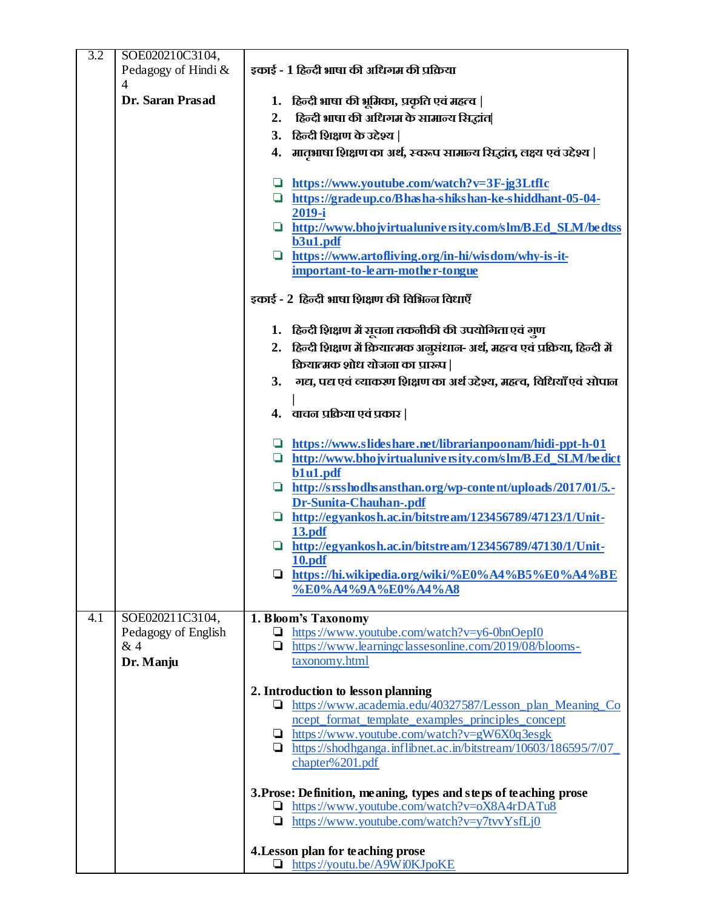| 3.2 | SOE020210C3104,                                           |                                                                                                                                                                                                                                                                                                                                                                                                                                                                                                                                           |
|-----|-----------------------------------------------------------|-------------------------------------------------------------------------------------------------------------------------------------------------------------------------------------------------------------------------------------------------------------------------------------------------------------------------------------------------------------------------------------------------------------------------------------------------------------------------------------------------------------------------------------------|
|     | Pedagogy of Hindi &<br>$\overline{4}$                     | इकाई - 1 हिन्दी भाषा की अधिगम की प्रक्रिया                                                                                                                                                                                                                                                                                                                                                                                                                                                                                                |
|     | Dr. Saran Prasad                                          | 1. हिन्दी भाषा की भूमिका, प्रकृति एवं महत्व                                                                                                                                                                                                                                                                                                                                                                                                                                                                                               |
|     |                                                           | हिन्दी भाषा की अधिगम के सामान्य सिद्धांत <br>2.                                                                                                                                                                                                                                                                                                                                                                                                                                                                                           |
|     |                                                           | 3. हिन्दी शिक्षण के उद्देश्य                                                                                                                                                                                                                                                                                                                                                                                                                                                                                                              |
|     |                                                           | 4. मातृभाषा शिक्षण का अर्थ, स्वरूप सामान्य सिद्धांत, लक्ष्य एवं उद्देश्य                                                                                                                                                                                                                                                                                                                                                                                                                                                                  |
|     |                                                           | https://www.youtube.com/watch?v=3F-jg3LtfIc<br>$\Box$ https://gradeup.co/Bhasha-shikshan-ke-shiddhant-05-04-<br>2019-i<br>Intertal http://www.bhojvirtualuniversity.com/slm/B.Ed_SLM/bedtss<br>b3u1.pdf<br>$\Box$ https://www.artofliving.org/in-hi/wisdom/why-is-it-<br>important-to-learn-mother-tongue<br>इकाई - 2 हिन्दी भाषा शिक्षण की विभिन्न विधाएँ<br>1. हिन्दी शिक्षण में सूचना तकनीकी की उपयोगिता एवं गुण<br>2. हिन्दी शिक्षण में क्रियात्मक अनुसंधान- अर्थ, महत्व एवं प्रक्रिया, हिन्दी में<br>क्रियात्मक शोध योजना का प्रारूप |
|     |                                                           | गद्य, पद्य एवं व्याकरण शिक्षण का अर्थ उद्देश्य, महत्व, विधियाँ एवं सोपाल<br>3.                                                                                                                                                                                                                                                                                                                                                                                                                                                            |
|     |                                                           | 4. वाचन प्रक्रिया एवं प्रकार                                                                                                                                                                                                                                                                                                                                                                                                                                                                                                              |
|     |                                                           | https://www.slideshare.net/librarianpoonam/hidi-ppt-h-01<br>$\Box$ http://www.bhojvirtualuniversity.com/slm/B.Ed_SLM/bedict<br>b1u1.pdf<br>$\Box$ http://srsshodhsansthan.org/wp-content/uploads/2017/01/5.-<br><b>Dr-Sunita-Chauhan-.pdf</b><br>http://egyankosh.ac.in/bitstream/123456789/47123/1/Unit-<br>13.pdf<br>$\Box$ http://egyankosh.ac.in/bitstream/123456789/47130/1/Unit-<br>10.pdf<br>$\Box$ https://hi.wikipedia.org/wiki/%E0%A4%B5%E0%A4%BE<br>%E0%A4%9A%E0%A4%A8                                                         |
| 4.1 | SOE020211C3104,<br>Pedagogy of English<br>&4<br>Dr. Manju | 1. Bloom's Taxonomy<br>$\Box$ https://www.youtube.com/watch?v=y6-0bnOepI0<br>$\Box$ https://www.learningclassesonline.com/2019/08/blooms-<br>taxonomy.html                                                                                                                                                                                                                                                                                                                                                                                |
|     |                                                           | 2. Introduction to lesson planning<br>https://www.academia.edu/40327587/Lesson_plan_Meaning_Co<br>ncept_format_template_examples_principles_concept<br>$\Box$ https://www.youtube.com/watch?v=gW6X0q3esgk<br>$\Box$ https://shodhganga.inflibnet.ac.in/bitstream/10603/186595/7/07<br>chapter% 201.pdf                                                                                                                                                                                                                                    |
|     |                                                           | 3. Prose: Definition, meaning, types and steps of teaching prose<br>$\Box$ https://www.youtube.com/watch?v=oX8A4rDATu8<br>$\Box$ https://www.youtube.com/watch?v=y7tvvYsfLj0                                                                                                                                                                                                                                                                                                                                                              |
|     |                                                           | 4. Lesson plan for teaching prose<br>$\Box$ https://youtu.be/A9Wi0KJpoKE                                                                                                                                                                                                                                                                                                                                                                                                                                                                  |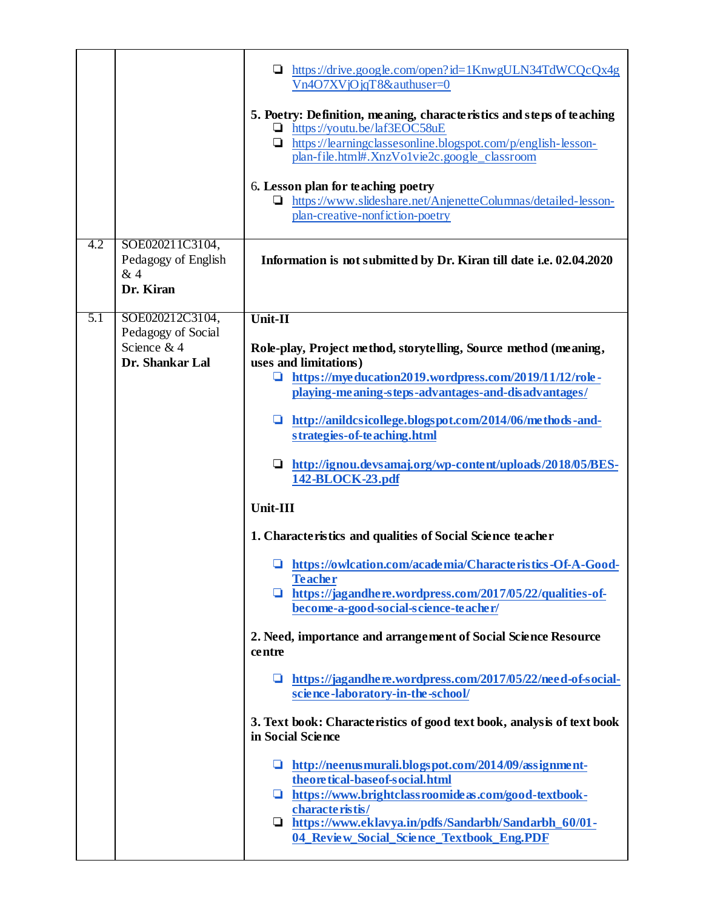|     |                                                                         | https://drive.google.com/open?id=1KnwgULN34TdWCQcQx4g<br>Vn4O7XVjOjqT8&authuser=0                                                                                                                                                                                                                                                                                                                                                                                                                                                                                                                                                                                                                                                                                                                                                                                                                                                                                                                                                                                                                                                                                                                                                           |
|-----|-------------------------------------------------------------------------|---------------------------------------------------------------------------------------------------------------------------------------------------------------------------------------------------------------------------------------------------------------------------------------------------------------------------------------------------------------------------------------------------------------------------------------------------------------------------------------------------------------------------------------------------------------------------------------------------------------------------------------------------------------------------------------------------------------------------------------------------------------------------------------------------------------------------------------------------------------------------------------------------------------------------------------------------------------------------------------------------------------------------------------------------------------------------------------------------------------------------------------------------------------------------------------------------------------------------------------------|
|     |                                                                         | 5. Poetry: Definition, meaning, characteristics and steps of teaching<br>https://youtu.be/laf3EOC58uE<br>https://learningclassesonline.blogspot.com/p/english-lesson-<br>⊔<br>plan-file.html#.XnzVo1vie2c.google_classroom                                                                                                                                                                                                                                                                                                                                                                                                                                                                                                                                                                                                                                                                                                                                                                                                                                                                                                                                                                                                                  |
|     |                                                                         | 6. Lesson plan for teaching poetry<br>https://www.slideshare.net/AnjenetteColumnas/detailed-lesson-<br>u.<br>plan-creative-nonfiction-poetry                                                                                                                                                                                                                                                                                                                                                                                                                                                                                                                                                                                                                                                                                                                                                                                                                                                                                                                                                                                                                                                                                                |
| 4.2 | SOE020211C3104,<br>Pedagogy of English<br>&4<br>Dr. Kiran               | Information is not submitted by Dr. Kiran till date i.e. 02.04.2020                                                                                                                                                                                                                                                                                                                                                                                                                                                                                                                                                                                                                                                                                                                                                                                                                                                                                                                                                                                                                                                                                                                                                                         |
| 5.1 | SOE020212C3104,<br>Pedagogy of Social<br>Science & 4<br>Dr. Shankar Lal | Unit-II<br>Role-play, Project method, storytelling, Source method (meaning,<br>uses and limitations)<br>https://myeducation2019.wordpress.com/2019/11/12/role-<br>❏<br>playing-meaning-steps-advantages-and-disadvantages/<br>http://anildcsicollege.blogspot.com/2014/06/methods-and-<br>u<br>strategies-of-teaching.html<br>$\Box$ http://ignou.devsamaj.org/wp-content/uploads/2018/05/BES-<br>142-BLOCK-23.pdf<br>Unit-III<br>1. Characteristics and qualities of Social Science teacher<br>International manufacture is tics -Of-A-Good-<br><b>Teacher</b><br>$\Box$ https://jagandhere.wordpress.com/2017/05/22/qualities-of-<br>become-a-good-social-science-teacher/<br>2. Need, importance and arrangement of Social Science Resource<br>centre<br>https://jagandhere.wordpress.com/2017/05/22/need-of-social-<br>science-laboratory-in-the-school/<br>3. Text book: Characteristics of good text book, analysis of text book<br>in Social Science<br>http://neenusmurali.blogspot.com/2014/09/assignment-<br>O.<br>theoretical-baseof-social.html<br>https://www.brightclassroomideas.com/good-textbook-<br>characteristis/<br>Inttps://www.eklavya.in/pdfs/Sandarbh/Sandarbh_60/01-<br>04_Review_Social_Science_Textbook_Eng.PDF |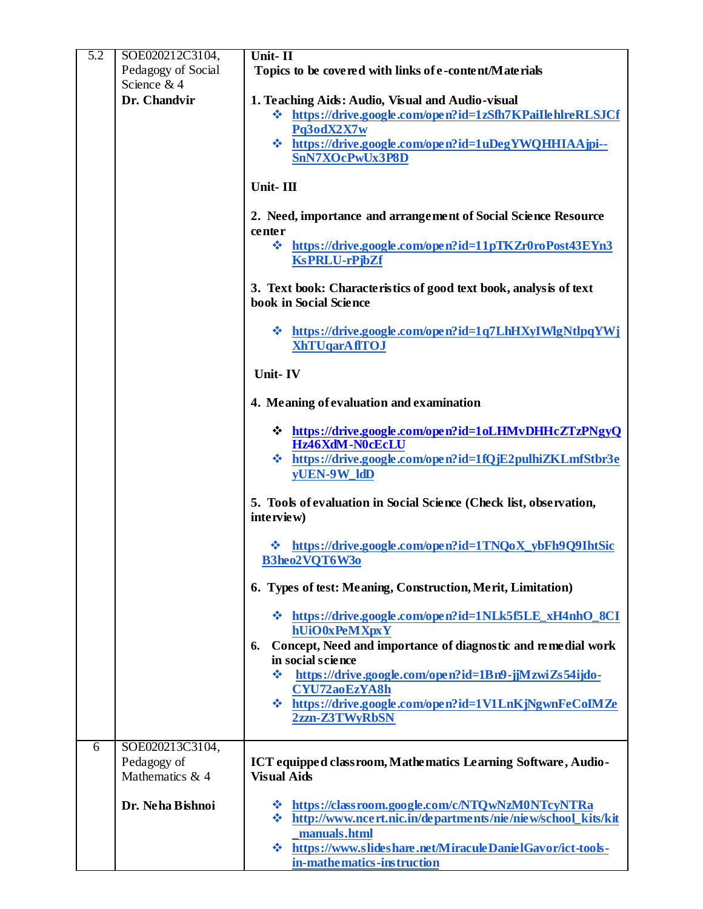| 5.2 | SOE020212C3104,                | Unit-II                                                                                     |
|-----|--------------------------------|---------------------------------------------------------------------------------------------|
|     | Pedagogy of Social             | Topics to be covered with links of e-content/Materials                                      |
|     | Science & 4                    |                                                                                             |
|     | Dr. Chandvir                   | 1. Teaching Aids: Audio, Visual and Audio-visual                                            |
|     |                                | ☆ https://drive.google.com/open?id=1zSfh7KPaiIlehlreRLSJCf                                  |
|     |                                | Pq3odX2X7w                                                                                  |
|     |                                | * https://drive.google.com/open?id=1uDegYWQHHIAAjpi--                                       |
|     |                                | SnN7XOcPwUx3P8D                                                                             |
|     |                                | Unit-III                                                                                    |
|     |                                |                                                                                             |
|     |                                | 2. Need, importance and arrangement of Social Science Resource                              |
|     |                                | center                                                                                      |
|     |                                | 豪<br>https://drive.google.com/open?id=11pTKZr0roPost43EYn3<br><b>KsPRLU-rPjbZf</b>          |
|     |                                | 3. Text book: Characteristics of good text book, analysis of text<br>book in Social Science |
|     |                                | V https://drive.google.com/open?id=1q7LhHXyIWlgNtlpqYWj<br><b>XhTUqarAfITOJ</b>             |
|     |                                | Unit-IV                                                                                     |
|     |                                | 4. Meaning of evaluation and examination                                                    |
|     |                                | <b>☆</b> https://drive.google.com/open?id=1oLHMvDHHcZTzPNgyQ                                |
|     |                                | Hz46XdM-N0cEcLU                                                                             |
|     |                                | ❖ https://drive.google.com/open?id=1fQjE2pulhiZKLmfStbr3e<br>yUEN-9W_ldD                    |
|     |                                | 5. Tools of evaluation in Social Science (Check list, observation,<br>interview)            |
|     |                                | https://drive.google.com/open?id=1TNQoX_ybFh9Q9IhtSic<br>B3heo2VQT6W3o                      |
|     |                                | 6. Types of test: Meaning, Construction, Merit, Limitation)                                 |
|     |                                | ☆ https://drive.google.com/open?id=1NLk5f5LE_xH4nhO_8CI<br>hUiO0xPeMXpxY                    |
|     |                                | Concept, Need and importance of diagnostic and remedial work<br>6.<br>in social science     |
|     |                                | https://drive.google.com/open?id=1Bn9-jjMzwiZs54ijdo-<br>÷                                  |
|     |                                | <b>CYU72aoEzYA8h</b>                                                                        |
|     |                                | ☆ https://drive.google.com/open?id=1V1LnKjNgwnFeCoIMZe<br>2zzn-Z3TWyRbSN                    |
| 6   | SOE020213C3104,                |                                                                                             |
|     | Pedagogy of<br>Mathematics & 4 | ICT equipped classroom, Mathematics Learning Software, Audio-<br><b>Visual Aids</b>         |
|     |                                |                                                                                             |
|     | Dr. Neha Bishnoi               | ☆ https://classroom.google.com/c/NTQwNzM0NTcyNTRa                                           |
|     |                                | <b>❖</b> http://www.ncert.nic.in/departments/nie/niew/school_kits/kit                       |
|     |                                | manuals.html<br>https://www.slideshare.net/MiraculeDanielGavor/ict-tools-<br><b>SALE</b>    |
|     |                                | in-mathematics-instruction                                                                  |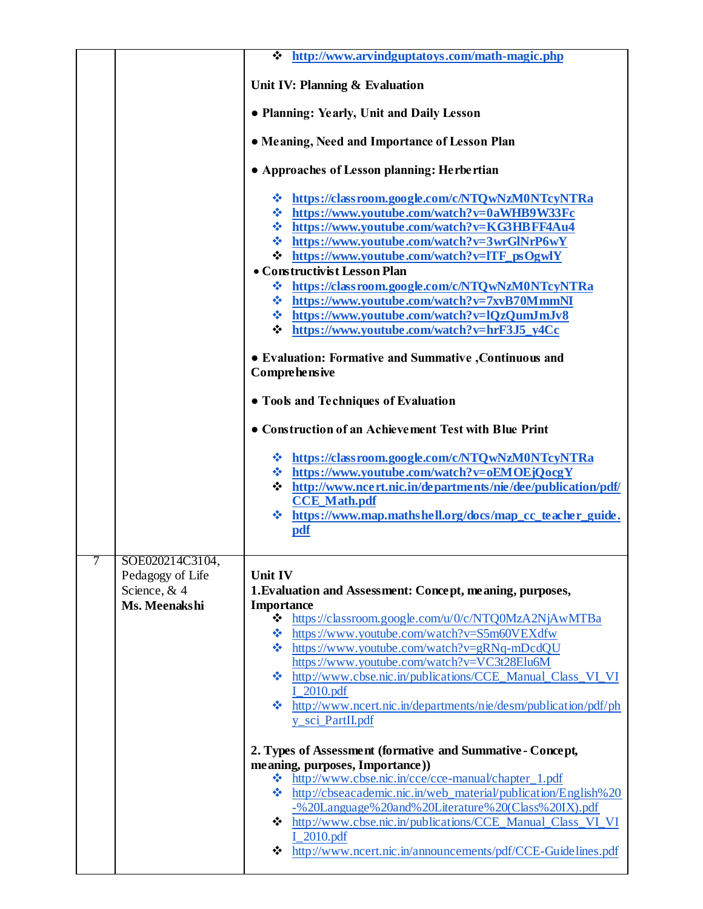|   |                                                                        | ❖ http://www.arvindguptatoys.com/math-magic.php                                                                                                                                                                                                                                                                                                                                                                                                                                                                                                                                                                                                                                                                                                                                                                              |
|---|------------------------------------------------------------------------|------------------------------------------------------------------------------------------------------------------------------------------------------------------------------------------------------------------------------------------------------------------------------------------------------------------------------------------------------------------------------------------------------------------------------------------------------------------------------------------------------------------------------------------------------------------------------------------------------------------------------------------------------------------------------------------------------------------------------------------------------------------------------------------------------------------------------|
|   |                                                                        | Unit IV: Planning & Evaluation                                                                                                                                                                                                                                                                                                                                                                                                                                                                                                                                                                                                                                                                                                                                                                                               |
|   |                                                                        | • Planning: Yearly, Unit and Daily Lesson                                                                                                                                                                                                                                                                                                                                                                                                                                                                                                                                                                                                                                                                                                                                                                                    |
|   |                                                                        | • Meaning, Need and Importance of Lesson Plan                                                                                                                                                                                                                                                                                                                                                                                                                                                                                                                                                                                                                                                                                                                                                                                |
|   |                                                                        | • Approaches of Lesson planning: Herbertian                                                                                                                                                                                                                                                                                                                                                                                                                                                                                                                                                                                                                                                                                                                                                                                  |
|   |                                                                        | ❖ https://classroom.google.com/c/NTQwNzM0NTcyNTRa<br>❖ https://www.youtube.com/watch?v=0aWHB9W33Fc<br><b>☆</b> https://www.youtube.com/watch?v=KG3HBFF4Au4<br><b>☆</b> https://www.youtube.com/watch?v=3wrGlNrP6wY<br>$\div$ https://www.youtube.com/watch?v=lTF_psOgwlY<br>• Constructivist Lesson Plan<br>❖ https://classroom.google.com/c/NTQwNzM0NTcyNTRa<br><b>☆</b> https://www.youtube.com/watch?v=7xvB70MmmNI<br>❖ https://www.youtube.com/watch?v=lQzQumJmJv8<br>$\div$ https://www.youtube.com/watch?v=hrF3J5_y4Cc<br>• Evaluation: Formative and Summative , Continuous and<br><b>Comprehensive</b><br>• Tools and Techniques of Evaluation<br>• Construction of an Achievement Test with Blue Print<br>❖ https://classroom.google.com/c/NTQwNzM0NTcyNTRa<br><b>☆</b> https://www.youtube.com/watch?v=oEMOEjQocgY |
|   |                                                                        | $\div$ http://www.ncert.nic.in/departments/nie/dee/publication/pdf/<br><b>CCE_Math.pdf</b><br>$\div$ https://www.map.mathshell.org/docs/map_cc_teacher_guide.<br>pdf                                                                                                                                                                                                                                                                                                                                                                                                                                                                                                                                                                                                                                                         |
| 7 | SOE020214C3104,<br>Pedagogy of Life<br>Science, $& 4$<br>Ms. Meenakshi | <b>Unit IV</b><br>1. Evaluation and Assessment: Concept, meaning, purposes,<br><b>Importance</b><br>❖<br>https://classroom.google.com/u/0/c/NTQ0MzA2NjAwMTBa<br>https://www.youtube.com/watch?v=S5m60VEXdfw<br>❖<br>$\cdot \cdot \cdot$ https://www.youtube.com/watch?v=gRNq-mDcdQU<br>https://www.youtube.com/watch?v=VC3t28Elu6M<br>❖ http://www.cbse.nic.in/publications/CCE_Manual_Class_VI_VI<br>I 2010.pdf<br>❖ http://www.ncert.nic.in/departments/nie/desm/publication/pdf/ph<br>y_sci_PartII.pdf                                                                                                                                                                                                                                                                                                                    |
|   |                                                                        | 2. Types of Assessment (formative and Summative - Concept,<br>meaning, purposes, Importance))<br>http://www.cbse.nic.in/cce/cce-manual/chapter_1.pdf<br>❖<br>http://cbseacademic.nic.in/web_material/publication/English%20<br>ൟ<br>-% 20Language% 20and% 20Literature% 20(Class% 20IX).pdf<br>☆ http://www.cbse.nic.in/publications/CCE_Manual_Class_VI_VI<br><b>I_2010.pdf</b><br>http://www.ncert.nic.in/announcements/pdf/CCE-Guidelines.pdf<br>❖                                                                                                                                                                                                                                                                                                                                                                        |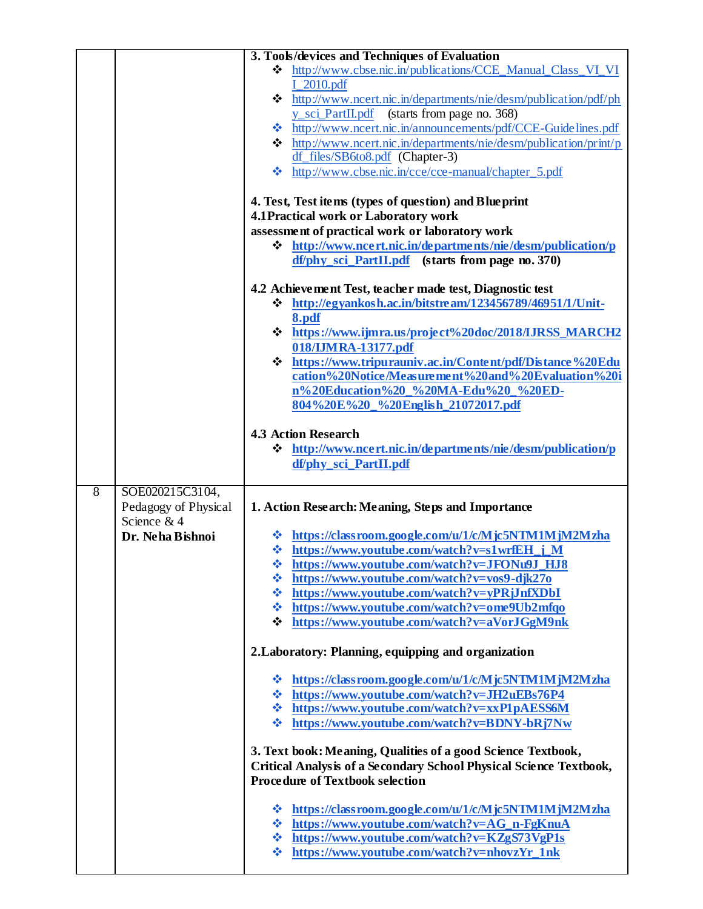|                |                                     | 3. Tools/devices and Techniques of Evaluation                                                                    |
|----------------|-------------------------------------|------------------------------------------------------------------------------------------------------------------|
|                |                                     | ❖ http://www.cbse.nic.in/publications/CCE_Manual_Class_VI_VI                                                     |
|                |                                     | $I_2010.pdf$                                                                                                     |
|                |                                     | ☆ http://www.ncert.nic.in/departments/nie/desm/publication/pdf/ph<br>y_sci_PartII.pdf (starts from page no. 368) |
|                |                                     | ❖ http://www.ncert.nic.in/announcements/pdf/CCE-Guidelines.pdf                                                   |
|                |                                     | ❖ http://www.ncert.nic.in/departments/nie/desm/publication/print/p                                               |
|                |                                     | df_files/SB6to8.pdf (Chapter-3)                                                                                  |
|                |                                     | ❖ http://www.cbse.nic.in/cce/cce-manual/chapter_5.pdf                                                            |
|                |                                     | 4. Test, Test items (types of question) and Blue print                                                           |
|                |                                     | 4.1 Practical work or Laboratory work                                                                            |
|                |                                     | assessment of practical work or laboratory work                                                                  |
|                |                                     | $\div$ http://www.ncert.nic.in/departments/nie/desm/publication/p                                                |
|                |                                     | df/phy_sci_PartII.pdf (starts from page no. 370)                                                                 |
|                |                                     | 4.2 Achievement Test, teacher made test, Diagnostic test                                                         |
|                |                                     | $\div$ http://egyankosh.ac.in/bitstream/123456789/46951/1/Unit-                                                  |
|                |                                     | 8.pdf                                                                                                            |
|                |                                     | * https://www.ijmra.us/project%20doc/2018/IJRSS_MARCH2<br>018/IJMRA-13177.pdf                                    |
|                |                                     | ❖ https://www.tripurauniv.ac.in/Content/pdf/Distance%20Edu                                                       |
|                |                                     | cation%20Notice/Measurement%20and%20Evaluation%20i                                                               |
|                |                                     | n%20Education%20_%20MA-Edu%20_%20ED-<br>804%20E%20_%20English_21072017.pdf                                       |
|                |                                     |                                                                                                                  |
|                |                                     | <b>4.3 Action Research</b>                                                                                       |
|                |                                     | $\div$ http://www.ncert.nic.in/departments/nie/desm/publication/p                                                |
|                |                                     | df/phy_sci_PartII.pdf                                                                                            |
| $\overline{8}$ | SOE020215C3104,                     |                                                                                                                  |
|                | Pedagogy of Physical<br>Science & 4 | 1. Action Research: Meaning, Steps and Importance                                                                |
|                | Dr. Neha Bishnoi                    | ❖ https://classroom.google.com/u/1/c/Mjc5NTM1MjM2Mzha                                                            |
|                |                                     | <b>☆</b> https://www.youtube.com/watch?v=s1wrfEH_j_M                                                             |
|                |                                     | <b>☆</b> https://www.youtube.com/watch?v=JFONu9J_HJ8                                                             |
|                |                                     | https://www.youtube.com/watch?v=vos9-djk27o<br>❖<br>https://www.youtube.com/watch?v=yPRjJnfXDbI<br><b>SALE</b>   |
|                |                                     | https://www.youtube.com/watch?v=ome9Ub2mfqo<br><b>经</b>                                                          |
|                |                                     | https://www.youtube.com/watch?v=aVorJGgM9nk<br>❖                                                                 |
|                |                                     | 2. Laboratory: Planning, equipping and organization                                                              |
|                |                                     |                                                                                                                  |
|                |                                     | ❖ https://classroom.google.com/u/1/c/Mjc5NTM1MjM2Mzha                                                            |
|                |                                     | <b>☆</b> https://www.youtube.com/watch?v=JH2uEBs76P4<br>❖ https://www.youtube.com/watch?v=xxP1pAESS6M            |
|                |                                     | $\div$ https://www.youtube.com/watch?v=BDNY-bRj7Nw                                                               |
|                |                                     |                                                                                                                  |
|                |                                     | 3. Text book: Meaning, Qualities of a good Science Textbook,                                                     |
|                |                                     | Critical Analysis of a Secondary School Physical Science Textbook,<br><b>Procedure of Textbook selection</b>     |
|                |                                     | ❖ https://classroom.google.com/u/1/c/Mjc5NTM1MjM2Mzha                                                            |
|                |                                     | <b>☆</b> https://www.youtube.com/watch?v=AG_n-FgKnuA                                                             |
|                |                                     | ❖ https://www.youtube.com/watch?v=KZgS73VgP1s                                                                    |
|                |                                     | <b>☆</b> https://www.youtube.com/watch?v=nhovzYr_1nk                                                             |
|                |                                     |                                                                                                                  |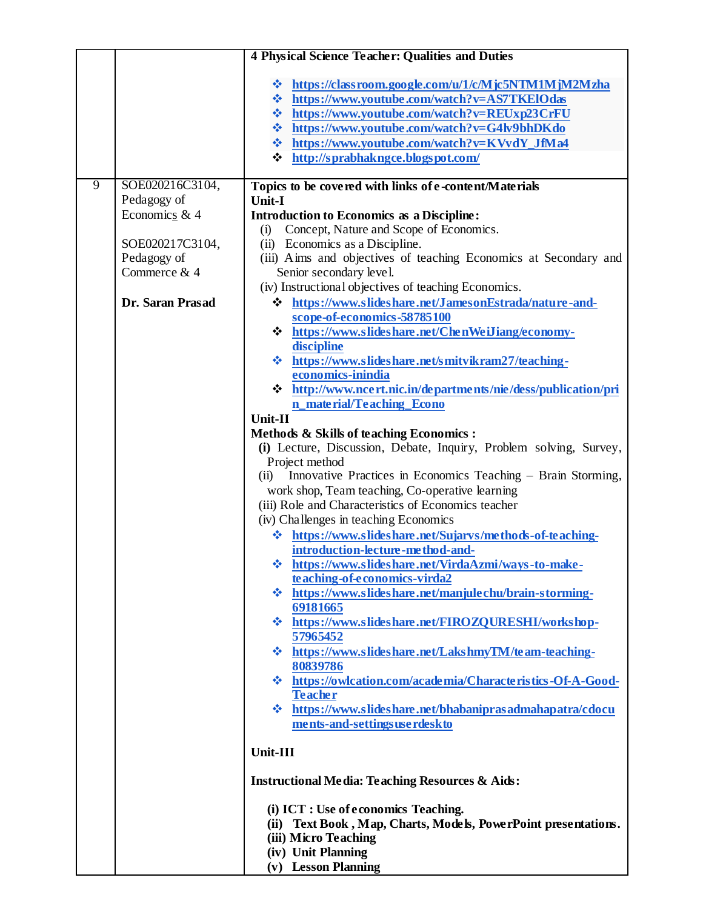|                |                                                                                                                       | <b>4 Physical Science Teacher: Qualities and Duties</b>                                                                                                                                                                                                                                                                                                                                                                                                                                                                                                                                                                                                                                                                                                                                                                                                                                                                                                                                                                                                                                                                                                                                                                                                                                                                                                                                                                                                                                                                                                                                                                                                                                                                                                                                                                                      |
|----------------|-----------------------------------------------------------------------------------------------------------------------|----------------------------------------------------------------------------------------------------------------------------------------------------------------------------------------------------------------------------------------------------------------------------------------------------------------------------------------------------------------------------------------------------------------------------------------------------------------------------------------------------------------------------------------------------------------------------------------------------------------------------------------------------------------------------------------------------------------------------------------------------------------------------------------------------------------------------------------------------------------------------------------------------------------------------------------------------------------------------------------------------------------------------------------------------------------------------------------------------------------------------------------------------------------------------------------------------------------------------------------------------------------------------------------------------------------------------------------------------------------------------------------------------------------------------------------------------------------------------------------------------------------------------------------------------------------------------------------------------------------------------------------------------------------------------------------------------------------------------------------------------------------------------------------------------------------------------------------------|
|                |                                                                                                                       | V https://classroom.google.com/u/1/c/Mjc5NTM1MjM2Mzha<br>❖ https://www.youtube.com/watch?v=AS7TKElOdas<br><b>☆</b> https://www.youtube.com/watch?v=REUxp23CrFU<br><b>☆</b> https://www.youtube.com/watch?v=G4lv9bhDKdo<br>V https://www.youtube.com/watch?v=KVvdY_JfMa4<br>$\div$ http://sprabhakngce.blogspot.com/                                                                                                                                                                                                                                                                                                                                                                                                                                                                                                                                                                                                                                                                                                                                                                                                                                                                                                                                                                                                                                                                                                                                                                                                                                                                                                                                                                                                                                                                                                                          |
| $\overline{9}$ | SOE020216C3104,<br>Pedagogy of<br>Economics & 4<br>SOE020217C3104,<br>Pedagogy of<br>Commerce & 4<br>Dr. Saran Prasad | Topics to be covered with links of e-content/Materials<br><b>Unit-I</b><br><b>Introduction to Economics as a Discipline:</b><br>Concept, Nature and Scope of Economics.<br>(i)<br>(ii) Economics as a Discipline.<br>(iii) Aims and objectives of teaching Economics at Secondary and<br>Senior secondary level.<br>(iv) Instructional objectives of teaching Economics.<br>❖ https://www.slideshare.net/JamesonEstrada/nature-and-<br>scope-of-economics-58785100<br>* https://www.slideshare.net/ChenWeiJiang/economy-<br>discipline<br>❖ https://www.slideshare.net/smitvikram27/teaching-<br>economics-inindia<br><b>↓</b> http://www.ncert.nic.in/departments/nie/dess/publication/pri<br>n_material/Teaching_Econo<br>Unit-II<br><b>Methods &amp; Skills of teaching Economics:</b><br>(i) Lecture, Discussion, Debate, Inquiry, Problem solving, Survey,<br>Project method<br>Innovative Practices in Economics Teaching - Brain Storming,<br>(ii)<br>work shop, Team teaching, Co-operative learning<br>(iii) Role and Characteristics of Economics teacher<br>(iv) Challenges in teaching Economics<br><b>☆</b> https://www.slideshare.net/Sujarvs/methods-of-teaching-<br>introduction-lecture-method-and-<br><b>☆</b> https://www.slideshare.net/VirdaAzmi/ways-to-make-<br>teaching-of-economics-virda2<br>❖ https://www.slideshare.net/manjulechu/brain-storming-<br>69181665<br>❖ https://www.slideshare.net/FIROZQURESHI/workshop-<br>57965452<br><b>☆</b> https://www.slideshare.net/LakshmyTM/team-teaching-<br>80839786<br>❖ https://owlcation.com/academia/Characteristics-Of-A-Good-<br><b>Teacher</b><br>❖ https://www.slideshare.net/bhabaniprasadmahapatra/cdocu<br>ments-and-settings use rdesk to<br>Unit-III<br><b>Instructional Media: Teaching Resources &amp; Aids:</b><br>(i) ICT : Use of economics Teaching. |
|                |                                                                                                                       | (ii) Text Book, Map, Charts, Models, PowerPoint presentations.<br>(iii) Micro Teaching<br>(iv) Unit Planning<br>(v) Lesson Planning                                                                                                                                                                                                                                                                                                                                                                                                                                                                                                                                                                                                                                                                                                                                                                                                                                                                                                                                                                                                                                                                                                                                                                                                                                                                                                                                                                                                                                                                                                                                                                                                                                                                                                          |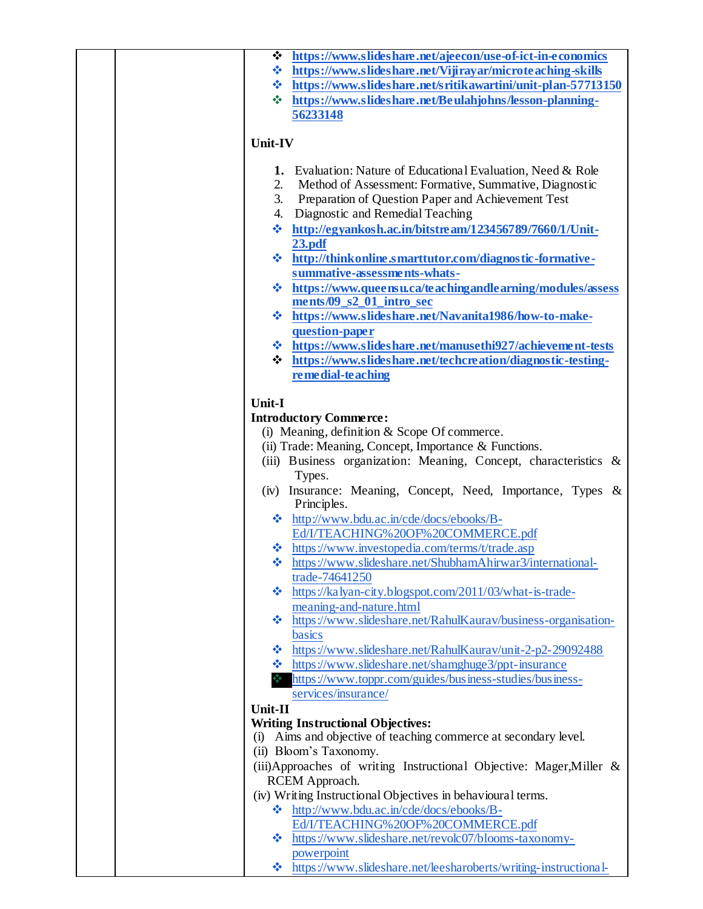| ❖ https://www.slideshare.net/ajeecon/use-of-ict-in-economics               |
|----------------------------------------------------------------------------|
| <b>☆</b> https://www.slideshare.net/Vijirayar/microteaching-skills         |
| <b>☆</b> https://www.slideshare.net/sritikawartini/unit-plan-57713150      |
| https://www.slideshare.net/Beulahjohns/lesson-planning-<br><b>AND 1999</b> |
| 56233148                                                                   |
|                                                                            |
| Unit-IV                                                                    |
|                                                                            |
| 1. Evaluation: Nature of Educational Evaluation, Need & Role               |
| Method of Assessment: Formative, Summative, Diagnostic<br>2.               |
| 3.<br>Preparation of Question Paper and Achievement Test                   |
| Diagnostic and Remedial Teaching<br>4.                                     |
| http://egyankosh.ac.in/bitstream/123456789/7660/1/Unit-<br>4               |
| 23.pdf                                                                     |
| ❖ http://thinkonline.smarttutor.com/diagnostic-formative-                  |
| summative-assessments-whats-                                               |
| <b>☆</b> https://www.queensu.ca/teachingandlearning/modules/assess         |
| ments/09_s2_01_intro_sec                                                   |
| https://www.slideshare.net/Navanita1986/how-to-make-<br>樂                  |
| question-paper                                                             |
| <b>☆</b> https://www.slideshare.net/manusethi927/achievement-tests         |
| https://www.slideshare.net/techcreation/diagnostic-testing-<br>❖           |
| remedial-teaching                                                          |
|                                                                            |
| Unit-I                                                                     |
| <b>Introductory Commerce:</b>                                              |
| (i) Meaning, definition $&$ Scope Of commerce.                             |
| (ii) Trade: Meaning, Concept, Importance & Functions.                      |
| (iii) Business organization: Meaning, Concept, characteristics &           |
| Types.                                                                     |
| (iv) Insurance: Meaning, Concept, Need, Importance, Types &<br>Principles. |
| ❖ http://www.bdu.ac.in/cde/docs/ebooks/B-                                  |
| Ed/I/TEACHING%20OF%20COMMERCE.pdf                                          |
| ❖ https://www.investopedia.com/terms/t/trade.asp                           |
| ❖ https://www.slideshare.net/ShubhamAhirwar3/international-                |
| trade-74641250                                                             |
| https://kalyan-city.blogspot.com/2011/03/what-is-trade-<br>❖               |
| meaning-and-nature.html                                                    |
| https://www.slideshare.net/RahulKaurav/business-organisation-<br>❖         |
| basics                                                                     |
| https://www.slideshare.net/RahulKaurav/unit-2-p2-29092488<br><b>WALLER</b> |
| https://www.slideshare.net/shamghuge3/ppt-insurance<br><b>经济</b>           |
| https://www.toppr.com/guides/business-studies/business-                    |
| services/insurance/                                                        |
| Unit-II                                                                    |
| <b>Writing Instructional Objectives:</b>                                   |
| Aims and objective of teaching commerce at secondary level.<br>(i)         |
| (ii) Bloom's Taxonomy.                                                     |
| (iii) Approaches of writing Instructional Objective: Mager, Miller &       |
| RCEM Approach.                                                             |
| (iv) Writing Instructional Objectives in behavioural terms.                |
| $\cdot \cdot \cdot$ http://www.bdu.ac.in/cde/docs/ebooks/B-                |
| Ed/I/TEACHING%20OF%20COMMERCE.pdf                                          |
| * https://www.slideshare.net/revolc07/blooms-taxonomy-                     |
| powerpoint                                                                 |
| ❖ https://www.slideshare.net/leesharoberts/writing-instructional-          |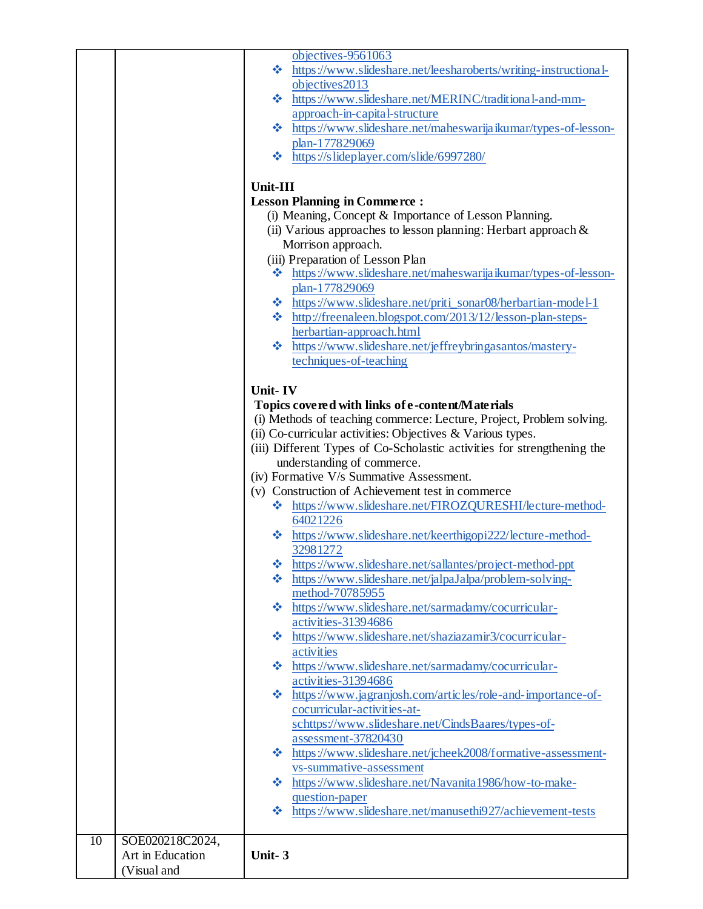|    |                  | objectives-9561063                                                      |
|----|------------------|-------------------------------------------------------------------------|
|    |                  | ❖ https://www.slideshare.net/leesharoberts/writing-instructional-       |
|    |                  | objectives2013                                                          |
|    |                  | ❖ https://www.slideshare.net/MERINC/traditional-and-mm-                 |
|    |                  | approach-in-capital-structure                                           |
|    |                  | ❖ https://www.slideshare.net/maheswarijaikumar/types-of-lesson-         |
|    |                  | plan-177829069                                                          |
|    |                  | $\cdot \cdot$ https://slideplayer.com/slide/6997280/                    |
|    |                  |                                                                         |
|    |                  | <b>Unit-III</b>                                                         |
|    |                  | <b>Lesson Planning in Commerce:</b>                                     |
|    |                  | (i) Meaning, Concept & Importance of Lesson Planning.                   |
|    |                  |                                                                         |
|    |                  | (ii) Various approaches to lesson planning: Herbart approach $\&$       |
|    |                  | Morrison approach.                                                      |
|    |                  | (iii) Preparation of Lesson Plan                                        |
|    |                  | https://www.slideshare.net/maheswarijaikumar/types-of-lesson-<br>參      |
|    |                  | plan-177829069                                                          |
|    |                  | ❖ https://www.slideshare.net/priti_sonar08/herbartian-model-1           |
|    |                  | ❖ http://freenaleen.blogspot.com/2013/12/lesson-plan-steps-             |
|    |                  | herbartian-approach.html                                                |
|    |                  | https://www.slideshare.net/jeffreybringasantos/mastery-<br>察            |
|    |                  | techniques-of-teaching                                                  |
|    |                  |                                                                         |
|    |                  | Unit-IV                                                                 |
|    |                  | Topics covered with links of e-content/Materials                        |
|    |                  | (i) Methods of teaching commerce: Lecture, Project, Problem solving.    |
|    |                  | (ii) Co-curricular activities: Objectives & Various types.              |
|    |                  | (iii) Different Types of Co-Scholastic activities for strengthening the |
|    |                  | understanding of commerce.                                              |
|    |                  | (iv) Formative V/s Summative Assessment.                                |
|    |                  | (v) Construction of Achievement test in commerce                        |
|    |                  | ❖ https://www.slideshare.net/FIROZQURESHI/lecture-method-               |
|    |                  | 64021226                                                                |
|    |                  | https://www.slideshare.net/keerthigopi222/lecture-method-<br>參          |
|    |                  | 32981272                                                                |
|    |                  |                                                                         |
|    |                  | https://www.slideshare.net/sallantes/project-method-ppt<br>❖            |
|    |                  | https://www.slideshare.net/jalpaJalpa/problem-solving-<br>46            |
|    |                  | method-70785955                                                         |
|    |                  | ❖ https://www.slideshare.net/sarmadamy/cocurricular-                    |
|    |                  | activities-31394686                                                     |
|    |                  | Attps://www.slideshare.net/shaziazamir3/cocurricular-                   |
|    |                  | activities                                                              |
|    |                  | https://www.slideshare.net/sarmadamy/cocurricular-<br><b>SALE</b>       |
|    |                  | activities-31394686                                                     |
|    |                  | https://www.jagranjosh.com/articles/role-and-importance-of-<br>-3       |
|    |                  | cocurricular-activities-at-                                             |
|    |                  | schttps://www.slideshare.net/CindsBaares/types-of-                      |
|    |                  | assessment-37820430                                                     |
|    |                  | ❖ https://www.slideshare.net/jcheek2008/formative-assessment-           |
|    |                  | vs-summative-assessment                                                 |
|    |                  | ❖ https://www.slideshare.net/Navanita1986/how-to-make-                  |
|    |                  | question-paper                                                          |
|    |                  | https://www.slideshare.net/manusethi927/achievement-tests<br>❖          |
|    |                  |                                                                         |
| 10 | SOE020218C2024,  |                                                                         |
|    | Art in Education | Unit-3                                                                  |
|    | (Visual and      |                                                                         |
|    |                  |                                                                         |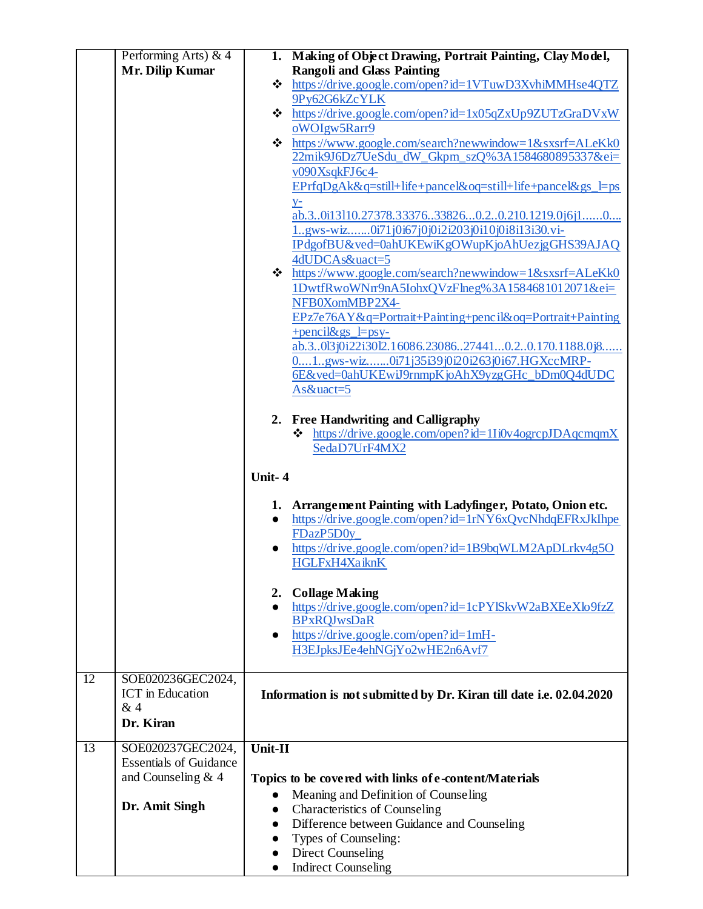|    | Performing Arts) $& 4$<br>Mr. Dilip Kumar                                                    | 1. Making of Object Drawing, Portrait Painting, Clay Model,<br><b>Rangoli and Glass Painting</b><br>* https://drive.google.com/open?id=1VTuwD3XvhiMMHse4QTZ<br>9Py62G6kZcYLK<br>$\cdot \cdot \cdot$ https://drive.google.com/open?id=1x05qZxUp9ZUTzGraDVxW<br>oWOIgw5Rarr9<br>$\cdot \cdot \cdot$ https://www.google.com/search?newwindow=1&sxsrf=ALeKk0<br>22mik9J6Dz7UeSdu_dW_Gkpm_szQ%3A1584680895337&ei=<br>v090XsqkFJ6c4-<br>EPrfqDgAk&q=still+life+pancel&oq=still+life+pancel&gs_l=ps<br>$y$                                                                       |
|----|----------------------------------------------------------------------------------------------|---------------------------------------------------------------------------------------------------------------------------------------------------------------------------------------------------------------------------------------------------------------------------------------------------------------------------------------------------------------------------------------------------------------------------------------------------------------------------------------------------------------------------------------------------------------------------|
|    |                                                                                              | ab.30i13110.27378.33376338260.20.210.1219.0j6j10<br>1.gws-wiz0i71j0i67j0j0i2i203j0i10j0i8i13i30.vi-<br>IPdgofBU&ved=0ahUKEwiKgOWupKjoAhUezjgGHS39AJAQ<br>4dUDCAs&uact=5<br>$\cdot \cdot \cdot$ https://www.google.com/search?newwindow=1&sxsrf=ALeKk0<br>1DwtfRwoWNrr9nA5IohxQVzFlneg%3A1584681012071&ei=<br>NFB0XomMBP2X4-<br>$EPz7e76AY&q=Portrait+Pairting+pencil&oq=Portrait+Pairting$<br>$+$ pencil&gs_l=psy-<br>ab.30l3j0i22i30l2.16086.23086274410.20.170.1188.0j8<br>01gws-wiz0i71j35i39j0i20i263j0i67.HGXccMRP-<br>6E&ved=0ahUKEwiJ9rnmpKjoAhX9yzgGHc_bDm0Q4dUDC |
|    |                                                                                              | As&uact=5<br>2. Free Handwriting and Calligraphy<br>https://drive.google.com/open?id=1Ii0v4ogrcpJDAqcmqmX<br>❖<br>SedaD7UrF4MX2<br>Unit-4                                                                                                                                                                                                                                                                                                                                                                                                                                 |
|    |                                                                                              | 1. Arrangement Painting with Ladyfinger, Potato, Onion etc.<br>https://drive.google.com/open?id=1rNY6xQvcNhdqEFRxJkIhpe<br>$\bullet$<br>FDazP5D0y<br>https://drive.google.com/open?id=1B9bqWLM2ApDLrkv4g5O<br>HGLFxH4XaiknK                                                                                                                                                                                                                                                                                                                                               |
|    |                                                                                              | 2. Collage Making<br>https://drive.google.com/open?id=1cPYlSkvW2aBXEeXlo9fzZ<br><b>BPxRQJwsDaR</b><br>https://drive.google.com/open?id=1mH-<br>$\bullet$<br>H3EJpksJEe4ehNGjYo2wHE2n6Avf7                                                                                                                                                                                                                                                                                                                                                                                 |
| 12 | SOE020236GEC2024,<br><b>ICT</b> in Education<br>& 4<br>Dr. Kiran                             | Information is not submitted by Dr. Kiran till date i.e. 02.04.2020                                                                                                                                                                                                                                                                                                                                                                                                                                                                                                       |
| 13 | SOE020237GEC2024,<br><b>Essentials of Guidance</b><br>and Counseling $& 4$<br>Dr. Amit Singh | Unit-II<br>Topics to be covered with links of e-content/Materials<br>Meaning and Definition of Counseling<br>Characteristics of Counseling<br>$\bullet$<br>Difference between Guidance and Counseling<br>$\bullet$<br>Types of Counseling:<br><b>Direct Counseling</b><br><b>Indirect Counseling</b><br>$\bullet$                                                                                                                                                                                                                                                         |